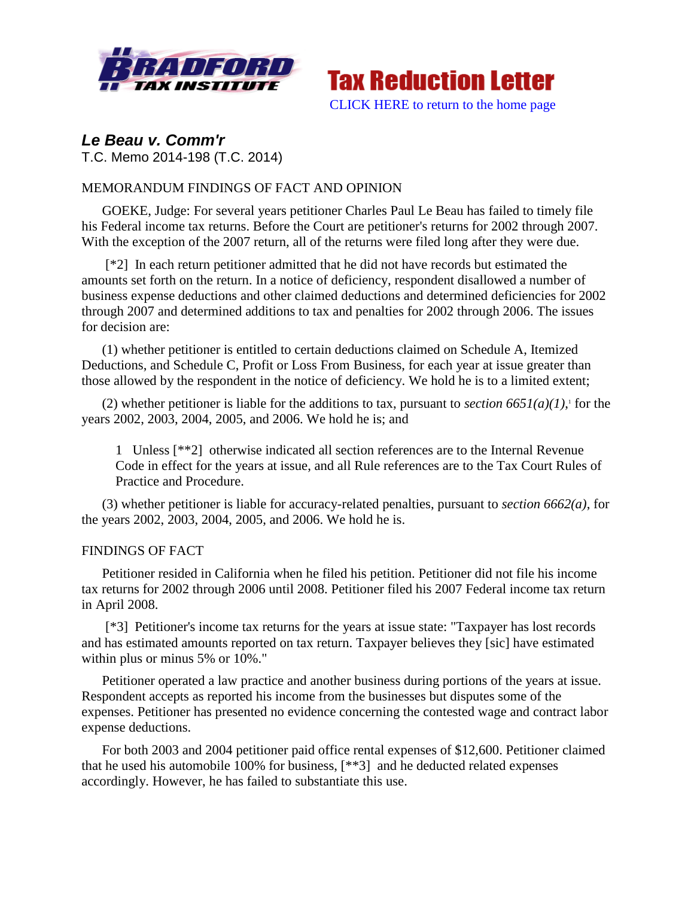



# *Le Beau v. Comm'r* T.C. Memo 2014-198 (T.C. 2014)

## MEMORANDUM FINDINGS OF FACT AND OPINION

GOEKE, Judge: For several years petitioner Charles Paul Le Beau has failed to timely file his Federal income tax returns. Before the Court are petitioner's returns for 2002 through 2007. With the exception of the 2007 return, all of the returns were filed long after they were due.

[\*2] In each return petitioner admitted that he did not have records but estimated the amounts set forth on the return. In a notice of deficiency, respondent disallowed a number of business expense deductions and other claimed deductions and determined deficiencies for 2002 through 2007 and determined additions to tax and penalties for 2002 through 2006. The issues for decision are:

(1) whether petitioner is entitled to certain deductions claimed on Schedule A, Itemized Deductions, and Schedule C, Profit or Loss From Business, for each year at issue greater than those allowed by the respondent in the notice of deficiency. We hold he is to a limited extent;

(2) whether petitioner is liable for the additions to tax, pursuant to *section*  $665I(a)(1)$ , for the years 2002, 2003, 2004, 2005, and 2006. We hold he is; and

1 Unless [\*\*2] otherwise indicated all section references are to the Internal Revenue Code in effect for the years at issue, and all Rule references are to the Tax Court Rules of Practice and Procedure.

(3) whether petitioner is liable for accuracy-related penalties, pursuant to *section 6662(a)*, for the years 2002, 2003, 2004, 2005, and 2006. We hold he is.

### FINDINGS OF FACT

Petitioner resided in California when he filed his petition. Petitioner did not file his income tax returns for 2002 through 2006 until 2008. Petitioner filed his 2007 Federal income tax return in April 2008.

[\*3] Petitioner's income tax returns for the years at issue state: "Taxpayer has lost records and has estimated amounts reported on tax return. Taxpayer believes they [sic] have estimated within plus or minus 5% or 10%."

Petitioner operated a law practice and another business during portions of the years at issue. Respondent accepts as reported his income from the businesses but disputes some of the expenses. Petitioner has presented no evidence concerning the contested wage and contract labor expense deductions.

For both 2003 and 2004 petitioner paid office rental expenses of \$12,600. Petitioner claimed that he used his automobile 100% for business, [\*\*3] and he deducted related expenses accordingly. However, he has failed to substantiate this use.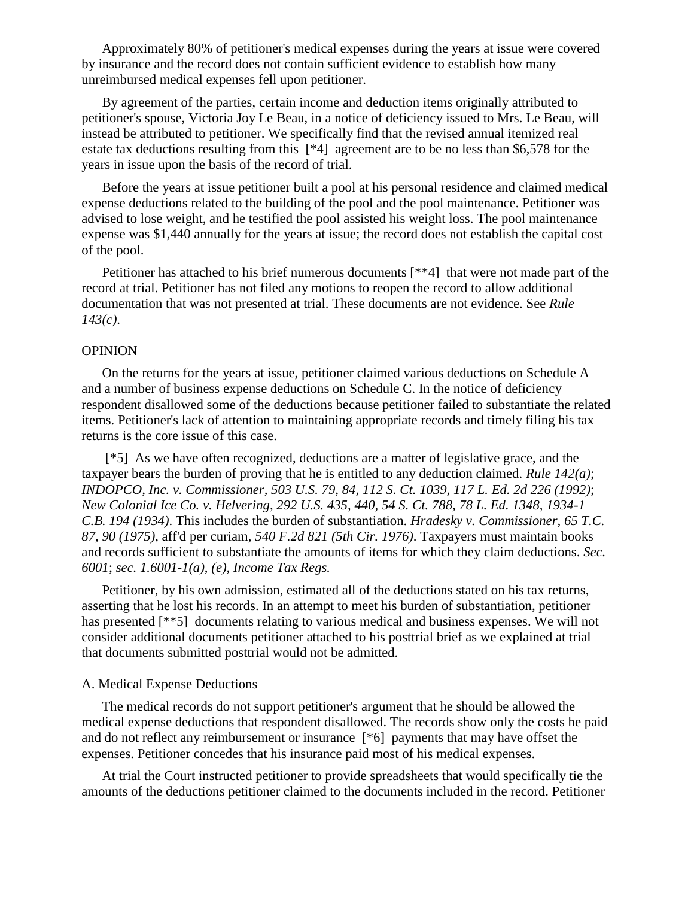Approximately 80% of petitioner's medical expenses during the years at issue were covered by insurance and the record does not contain sufficient evidence to establish how many unreimbursed medical expenses fell upon petitioner.

By agreement of the parties, certain income and deduction items originally attributed to petitioner's spouse, Victoria Joy Le Beau, in a notice of deficiency issued to Mrs. Le Beau, will instead be attributed to petitioner. We specifically find that the revised annual itemized real estate tax deductions resulting from this [\*4] agreement are to be no less than \$6,578 for the years in issue upon the basis of the record of trial.

Before the years at issue petitioner built a pool at his personal residence and claimed medical expense deductions related to the building of the pool and the pool maintenance. Petitioner was advised to lose weight, and he testified the pool assisted his weight loss. The pool maintenance expense was \$1,440 annually for the years at issue; the record does not establish the capital cost of the pool.

Petitioner has attached to his brief numerous documents [\*\*4] that were not made part of the record at trial. Petitioner has not filed any motions to reopen the record to allow additional documentation that was not presented at trial. These documents are not evidence. See *Rule 143(c)*.

#### **OPINION**

On the returns for the years at issue, petitioner claimed various deductions on Schedule A and a number of business expense deductions on Schedule C. In the notice of deficiency respondent disallowed some of the deductions because petitioner failed to substantiate the related items. Petitioner's lack of attention to maintaining appropriate records and timely filing his tax returns is the core issue of this case.

[\*5] As we have often recognized, deductions are a matter of legislative grace, and the taxpayer bears the burden of proving that he is entitled to any deduction claimed. *Rule 142(a)*; *INDOPCO, Inc. v. Commissioner, 503 U.S. 79, 84, 112 S. Ct. 1039, 117 L. Ed. 2d 226 (1992)*; *New Colonial Ice Co. v. Helvering, 292 U.S. 435, 440, 54 S. Ct. 788, 78 L. Ed. 1348, 1934-1 C.B. 194 (1934)*. This includes the burden of substantiation. *Hradesky v. Commissioner, 65 T.C. 87, 90 (1975)*, aff'd per curiam, *540 F.2d 821 (5th Cir. 1976)*. Taxpayers must maintain books and records sufficient to substantiate the amounts of items for which they claim deductions. *Sec. 6001*; *sec. 1.6001-1(a)*, *(e), Income Tax Regs.*

Petitioner, by his own admission, estimated all of the deductions stated on his tax returns, asserting that he lost his records. In an attempt to meet his burden of substantiation, petitioner has presented [\*\*5] documents relating to various medical and business expenses. We will not consider additional documents petitioner attached to his posttrial brief as we explained at trial that documents submitted posttrial would not be admitted.

#### A. Medical Expense Deductions

The medical records do not support petitioner's argument that he should be allowed the medical expense deductions that respondent disallowed. The records show only the costs he paid and do not reflect any reimbursement or insurance [\*6] payments that may have offset the expenses. Petitioner concedes that his insurance paid most of his medical expenses.

At trial the Court instructed petitioner to provide spreadsheets that would specifically tie the amounts of the deductions petitioner claimed to the documents included in the record. Petitioner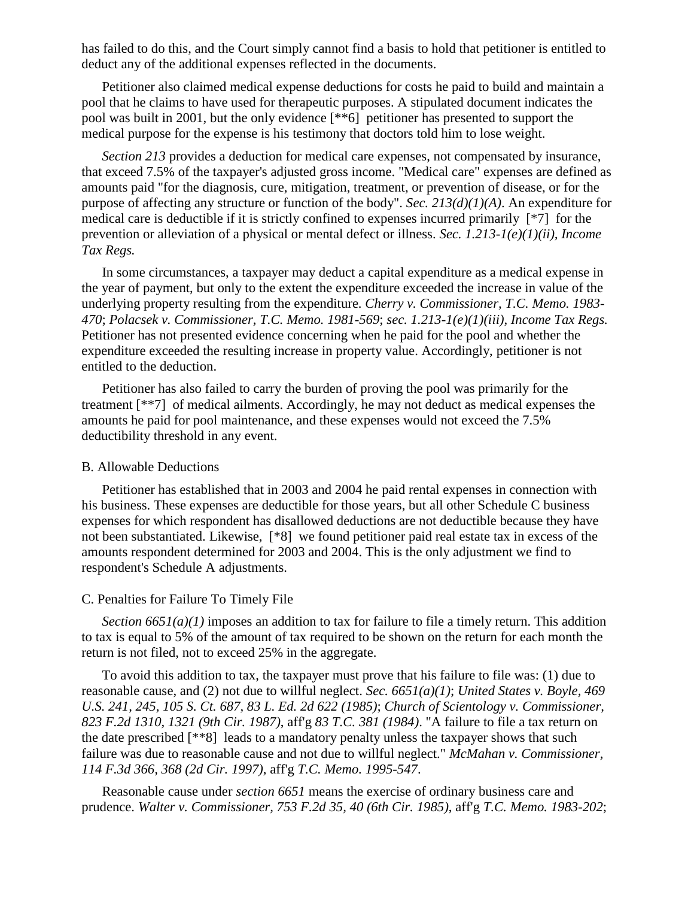has failed to do this, and the Court simply cannot find a basis to hold that petitioner is entitled to deduct any of the additional expenses reflected in the documents.

Petitioner also claimed medical expense deductions for costs he paid to build and maintain a pool that he claims to have used for therapeutic purposes. A stipulated document indicates the pool was built in 2001, but the only evidence [\*\*6] petitioner has presented to support the medical purpose for the expense is his testimony that doctors told him to lose weight.

*Section 213* provides a deduction for medical care expenses, not compensated by insurance, that exceed 7.5% of the taxpayer's adjusted gross income. "Medical care" expenses are defined as amounts paid "for the diagnosis, cure, mitigation, treatment, or prevention of disease, or for the purpose of affecting any structure or function of the body". *Sec. 213(d)(1)(A)*. An expenditure for medical care is deductible if it is strictly confined to expenses incurred primarily [\*7] for the prevention or alleviation of a physical or mental defect or illness. *Sec. 1.213-1(e)(1)(ii), Income Tax Regs.*

In some circumstances, a taxpayer may deduct a capital expenditure as a medical expense in the year of payment, but only to the extent the expenditure exceeded the increase in value of the underlying property resulting from the expenditure. *Cherry v. Commissioner, T.C. Memo. 1983- 470*; *Polacsek v. Commissioner, T.C. Memo. 1981-569*; *sec. 1.213-1(e)(1)(iii), Income Tax Regs.* Petitioner has not presented evidence concerning when he paid for the pool and whether the expenditure exceeded the resulting increase in property value. Accordingly, petitioner is not entitled to the deduction.

Petitioner has also failed to carry the burden of proving the pool was primarily for the treatment [\*\*7] of medical ailments. Accordingly, he may not deduct as medical expenses the amounts he paid for pool maintenance, and these expenses would not exceed the 7.5% deductibility threshold in any event.

#### B. Allowable Deductions

Petitioner has established that in 2003 and 2004 he paid rental expenses in connection with his business. These expenses are deductible for those years, but all other Schedule C business expenses for which respondent has disallowed deductions are not deductible because they have not been substantiated. Likewise, [\*8] we found petitioner paid real estate tax in excess of the amounts respondent determined for 2003 and 2004. This is the only adjustment we find to respondent's Schedule A adjustments.

#### C. Penalties for Failure To Timely File

*Section 6651(a)(1)* imposes an addition to tax for failure to file a timely return. This addition to tax is equal to 5% of the amount of tax required to be shown on the return for each month the return is not filed, not to exceed 25% in the aggregate.

To avoid this addition to tax, the taxpayer must prove that his failure to file was: (1) due to reasonable cause, and (2) not due to willful neglect. *Sec. 6651(a)(1)*; *United States v. Boyle, 469 U.S. 241, 245, 105 S. Ct. 687, 83 L. Ed. 2d 622 (1985)*; *Church of Scientology v. Commissioner, 823 F.2d 1310, 1321 (9th Cir. 1987)*, aff'g *83 T.C. 381 (1984)*. "A failure to file a tax return on the date prescribed [\*\*8] leads to a mandatory penalty unless the taxpayer shows that such failure was due to reasonable cause and not due to willful neglect." *McMahan v. Commissioner, 114 F.3d 366, 368 (2d Cir. 1997)*, aff'g *T.C. Memo. 1995-547*.

Reasonable cause under *section 6651* means the exercise of ordinary business care and prudence. *Walter v. Commissioner, 753 F.2d 35, 40 (6th Cir. 1985)*, aff'g *T.C. Memo. 1983-202*;